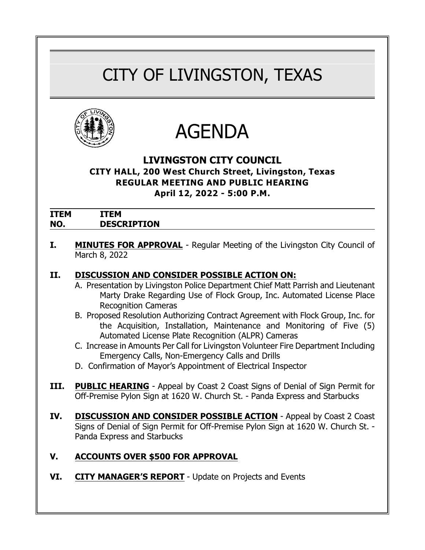# CITY OF LIVINGSTON, TEXAS





## **LIVINGSTON CITY COUNCIL**

**CITY HALL, 200 West Church Street, Livingston, Texas REGULAR MEETING AND PUBLIC HEARING April 12, 2022 - 5:00 P.M.**

| <b>ITEM</b> | ГЕМ                |
|-------------|--------------------|
| NO.         | <b>DESCRIPTION</b> |

**I. MINUTES FOR APPROVAL** - Regular Meeting of the Livingston City Council of March 8, 2022

#### **II. DISCUSSION AND CONSIDER POSSIBLE ACTION ON:**

- A. Presentation by Livingston Police Department Chief Matt Parrish and Lieutenant Marty Drake Regarding Use of Flock Group, Inc. Automated License Place Recognition Cameras
- B. Proposed Resolution Authorizing Contract Agreement with Flock Group, Inc. for the Acquisition, Installation, Maintenance and Monitoring of Five (5) Automated License Plate Recognition (ALPR) Cameras
- C. Increase in Amounts Per Call for Livingston Volunteer Fire Department Including Emergency Calls, Non-Emergency Calls and Drills
- D. Confirmation of Mayor's Appointment of Electrical Inspector
- **III. PUBLIC HEARING** Appeal by Coast 2 Coast Signs of Denial of Sign Permit for Off-Premise Pylon Sign at 1620 W. Church St. - Panda Express and Starbucks
- **IV. DISCUSSION AND CONSIDER POSSIBLE ACTION** Appeal by Coast 2 Coast Signs of Denial of Sign Permit for Off-Premise Pylon Sign at 1620 W. Church St. - Panda Express and Starbucks

### **V. ACCOUNTS OVER \$500 FOR APPROVAL**

**VI. CITY MANAGER'S REPORT** - Update on Projects and Events